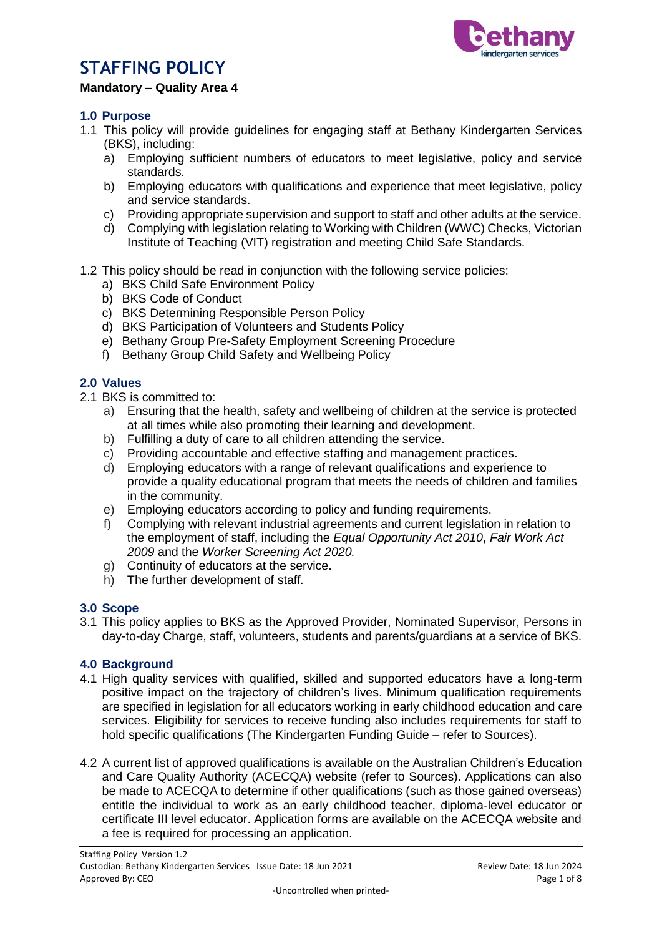

### **Mandatory – Quality Area 4**

#### **1.0 Purpose**

- 1.1 This policy will provide guidelines for engaging staff at Bethany Kindergarten Services (BKS), including:
	- a) Employing sufficient numbers of educators to meet legislative, policy and service standards.
	- b) Employing educators with qualifications and experience that meet legislative, policy and service standards.
	- c) Providing appropriate supervision and support to staff and other adults at the service.
	- d) Complying with legislation relating to Working with Children (WWC) Checks, Victorian Institute of Teaching (VIT) registration and meeting Child Safe Standards.
- 1.2 This policy should be read in conjunction with the following service policies:
	- a) BKS Child Safe Environment Policy
	- b) BKS Code of Conduct
	- c) BKS Determining Responsible Person Policy
	- d) BKS Participation of Volunteers and Students Policy
	- e) Bethany Group Pre-Safety Employment Screening Procedure
	- f) Bethany Group Child Safety and Wellbeing Policy

#### **2.0 Values**

- 2.1 BKS is committed to:
	- a) Ensuring that the health, safety and wellbeing of children at the service is protected at all times while also promoting their learning and development.
	- b) Fulfilling a duty of care to all children attending the service.
	- c) Providing accountable and effective staffing and management practices.
	- d) Employing educators with a range of relevant qualifications and experience to provide a quality educational program that meets the needs of children and families in the community.
	- e) Employing educators according to policy and funding requirements.
	- f) Complying with relevant industrial agreements and current legislation in relation to the employment of staff, including the *Equal Opportunity Act 2010*, *Fair Work Act 2009* and the *Worker Screening Act 2020.*
	- g) Continuity of educators at the service.
	- h) The further development of staff*.*

#### **3.0 Scope**

3.1 This policy applies to BKS as the Approved Provider, Nominated Supervisor, Persons in day-to-day Charge, staff, volunteers, students and parents/guardians at a service of BKS.

#### **4.0 Background**

- 4.1 High quality services with qualified, skilled and supported educators have a long-term positive impact on the trajectory of children's lives. Minimum qualification requirements are specified in legislation for all educators working in early childhood education and care services. Eligibility for services to receive funding also includes requirements for staff to hold specific qualifications (The Kindergarten Funding Guide – refer to Sources).
- 4.2 A current list of approved qualifications is available on the [Australian Children's Education](https://www.acecqa.gov.au/)  [and Care Quality Authority](https://www.acecqa.gov.au/) (ACECQA) website (refer to Sources). Applications can also be made to ACECQA to determine if other qualifications (such as those gained overseas) entitle the individual to work as an early childhood teacher, diploma-level educator or certificate III level educator. Application forms are available on the ACECQA website and a fee is required for processing an application.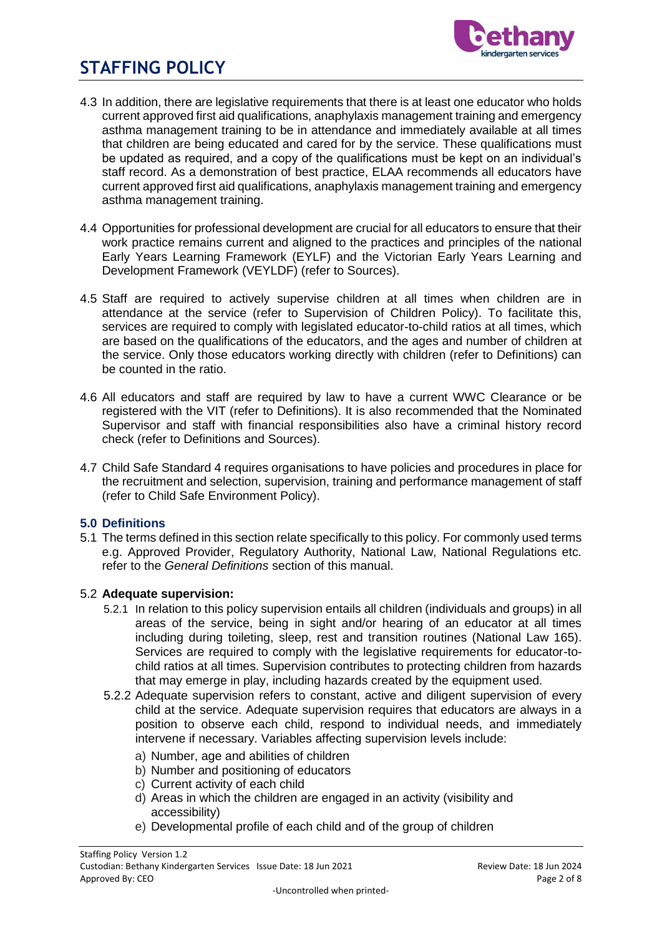

- 4.3 In addition, there are legislative requirements that there is at least one educator who holds current approved first aid qualifications, anaphylaxis management training and emergency asthma management training to be in attendance and immediately available at all times that children are being educated and cared for by the service. These qualifications must be updated as required, and a copy of the qualifications must be kept on an individual's staff record. As a demonstration of best practice, ELAA recommends all educators have current approved first aid qualifications, anaphylaxis management training and emergency asthma management training.
- 4.4 Opportunities for professional development are crucial for all educators to ensure that their work practice remains current and aligned to the practices and principles of the national Early Years Learning Framework (EYLF) and the Victorian Early Years Learning and Development Framework (VEYLDF) (refer to Sources).
- 4.5 Staff are required to actively supervise children at all times when children are in attendance at the service (refer to Supervision of Children Policy). To facilitate this, services are required to comply with legislated educator-to-child ratios at all times, which are based on the qualifications of the educators, and the ages and number of children at the service. Only those educators working directly with children (refer to Definitions) can be counted in the ratio.
- 4.6 All educators and staff are required by law to have a current WWC Clearance or be registered with the VIT (refer to Definitions). It is also recommended that the Nominated Supervisor and staff with financial responsibilities also have a criminal history record check (refer to Definitions and Sources).
- 4.7 Child Safe Standard 4 requires organisations to have policies and procedures in place for the recruitment and selection, supervision, training and performance management of staff (refer to Child Safe Environment Policy).

#### **5.0 Definitions**

5.1 The terms defined in this section relate specifically to this policy. For commonly used terms e.g. Approved Provider, Regulatory Authority, National Law, National Regulations etc. refer to the *General Definitions* section of this manual.

#### 5.2 **Adequate supervision:**

- 5.2.1 In relation to this policy supervision entails all children (individuals and groups) in all areas of the service, being in sight and/or hearing of an educator at all times including during toileting, sleep, rest and transition routines (National Law 165). Services are required to comply with the legislative requirements for educator-tochild ratios at all times. Supervision contributes to protecting children from hazards that may emerge in play, including hazards created by the equipment used.
- 5.2.2 Adequate supervision refers to constant, active and diligent supervision of every child at the service. Adequate supervision requires that educators are always in a position to observe each child, respond to individual needs, and immediately intervene if necessary. Variables affecting supervision levels include:
	- a) Number, age and abilities of children
	- b) Number and positioning of educators
	- c) Current activity of each child
	- d) Areas in which the children are engaged in an activity (visibility and accessibility)
	- e) Developmental profile of each child and of the group of children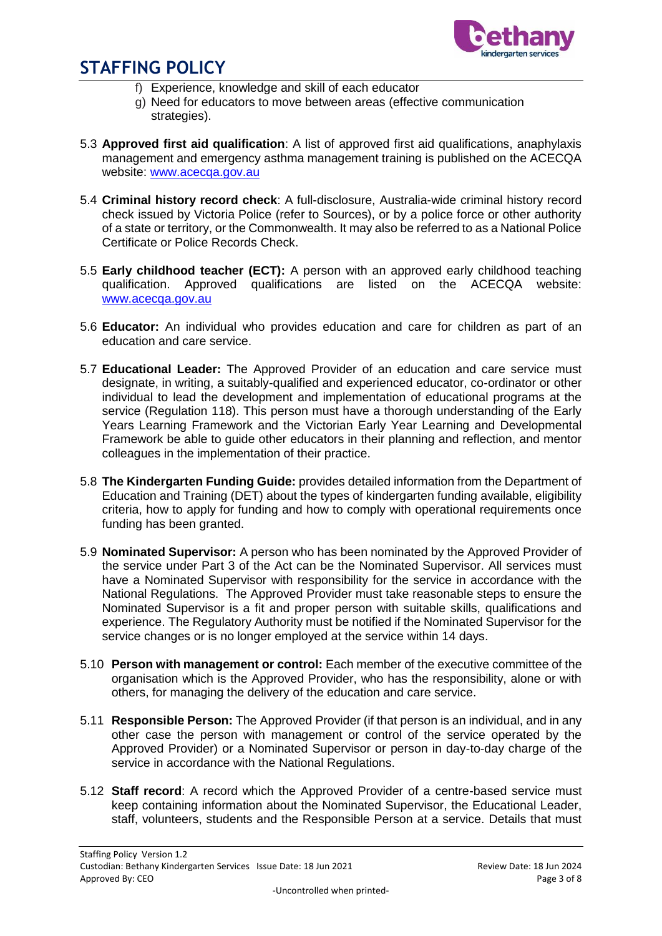

- f) Experience, knowledge and skill of each educator
- g) Need for educators to move between areas (effective communication strategies).
- 5.3 **Approved first aid qualification**: A list of approved first aid qualifications, anaphylaxis management and emergency asthma management training is published on the ACECQA website: [www.acecqa.gov.au](http://www.acecqa.gov.au/)
- 5.4 **Criminal history record check**: A full-disclosure, Australia-wide criminal history record check issued by Victoria Police (refer to Sources), or by a police force or other authority of a state or territory, or the Commonwealth. It may also be referred to as a National Police Certificate or Police Records Check.
- 5.5 **Early childhood teacher (ECT):** A person with an approved early childhood teaching qualification. Approved qualifications are listed on the ACECQA website: [www.acecqa.gov.au](http://www.acecqa.gov.au/)
- 5.6 **Educator:** An individual who provides education and care for children as part of an education and care service.
- 5.7 **Educational Leader:** The Approved Provider of an education and care service must designate, in writing, a suitably-qualified and experienced educator, co-ordinator or other individual to lead the development and implementation of educational programs at the service (Regulation 118). This person must have a thorough understanding of the Early Years Learning Framework and the Victorian Early Year Learning and Developmental Framework be able to guide other educators in their planning and reflection, and mentor colleagues in the implementation of their practice.
- 5.8 **The Kindergarten Funding Guide:** provides detailed information from the Department of Education and Training (DET) about the types of kindergarten funding available, eligibility criteria, how to apply for funding and how to comply with operational requirements once funding has been granted.
- 5.9 **Nominated Supervisor:** A person who has been nominated by the Approved Provider of the service under Part 3 of the Act can be the Nominated Supervisor. All services must have a Nominated Supervisor with responsibility for the service in accordance with the National Regulations. The Approved Provider must take reasonable steps to ensure the Nominated Supervisor is a fit and proper person with suitable skills, qualifications and experience. The Regulatory Authority must be notified if the Nominated Supervisor for the service changes or is no longer employed at the service within 14 days.
- 5.10 **Person with management or control:** Each member of the executive committee of the organisation which is the Approved Provider, who has the responsibility, alone or with others, for managing the delivery of the education and care service.
- 5.11 **Responsible Person:** The Approved Provider (if that person is an individual, and in any other case the person with management or control of the service operated by the Approved Provider) or a Nominated Supervisor or person in day-to-day charge of the service in accordance with the National Regulations.
- 5.12 **Staff record**: A record which the Approved Provider of a centre-based service must keep containing information about the Nominated Supervisor, the Educational Leader, staff, volunteers, students and the Responsible Person at a service. Details that must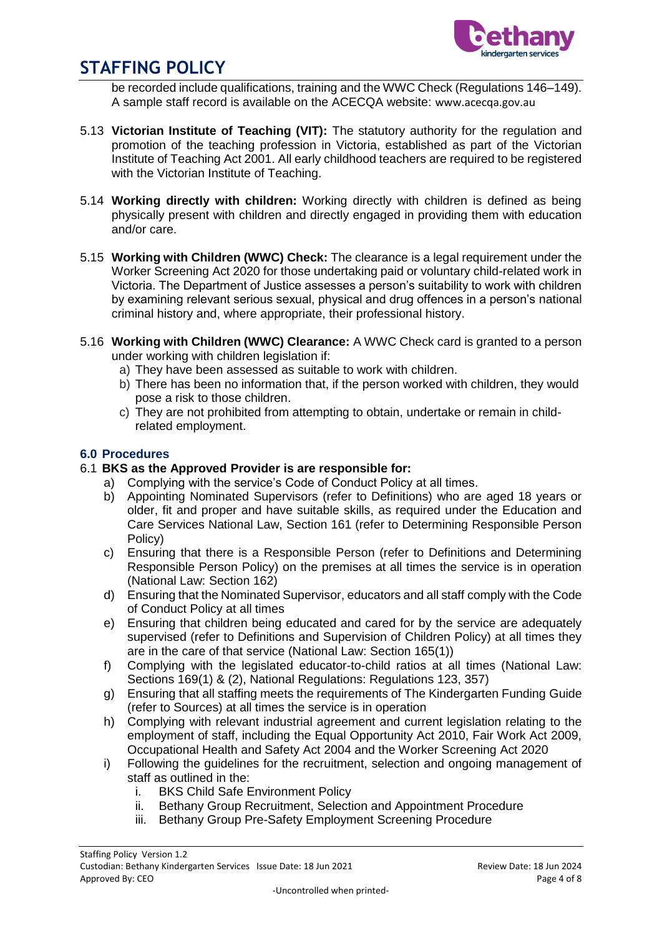

be recorded include qualifications, training and the WWC Check (Regulations 146–149). A sample staff record is available on the ACECQA website: [www.acecqa.gov.au](http://www.acecqa.gov.au/)

- 5.13 **Victorian Institute of Teaching (VIT):** The statutory authority for the regulation and promotion of the teaching profession in Victoria, established as part of the Victorian Institute of Teaching Act 2001. All early childhood teachers are required to be registered with the Victorian Institute of Teaching.
- 5.14 **Working directly with children:** Working directly with children is defined as being physically present with children and directly engaged in providing them with education and/or care.
- 5.15 **Working with Children (WWC) Check:** The clearance is a legal requirement under the Worker Screening Act 2020 for those undertaking paid or voluntary child-related work in Victoria. The Department of Justice assesses a person's suitability to work with children by examining relevant serious sexual, physical and drug offences in a person's national criminal history and, where appropriate, their professional history.
- 5.16 **Working with Children (WWC) Clearance:** A WWC Check card is granted to a person under working with children legislation if:
	- a) They have been assessed as suitable to work with children.
	- b) There has been no information that, if the person worked with children, they would pose a risk to those children.
	- c) They are not prohibited from attempting to obtain, undertake or remain in childrelated employment.

#### **6.0 Procedures**

#### 6.1 **BKS as the Approved Provider is are responsible for:**

- a) Complying with the service's Code of Conduct Policy at all times.
- b) Appointing Nominated Supervisors (refer to Definitions) who are aged 18 years or older, fit and proper and have suitable skills, as required under the Education and Care Services National Law, Section 161 (refer to Determining Responsible Person Policy)
- c) Ensuring that there is a Responsible Person (refer to Definitions and Determining Responsible Person Policy) on the premises at all times the service is in operation (National Law: Section 162)
- d) Ensuring that the Nominated Supervisor, educators and all staff comply with the Code of Conduct Policy at all times
- e) Ensuring that children being educated and cared for by the service are adequately supervised (refer to Definitions and Supervision of Children Policy) at all times they are in the care of that service (National Law: Section 165(1))
- f) Complying with the legislated educator-to-child ratios at all times (National Law: Sections 169(1) & (2), National Regulations: Regulations 123, 357)
- g) Ensuring that all staffing meets the requirements of The Kindergarten Funding Guide (refer to Sources) at all times the service is in operation
- h) Complying with relevant industrial agreement and current legislation relating to the employment of staff, including the Equal Opportunity Act 2010, Fair Work Act 2009, Occupational Health and Safety Act 2004 and the Worker Screening Act 2020
- i) Following the guidelines for the recruitment, selection and ongoing management of staff as outlined in the:
	- i. BKS Child Safe Environment Policy
	- ii. Bethany Group Recruitment, Selection and Appointment Procedure
	- iii. Bethany Group Pre-Safety Employment Screening Procedure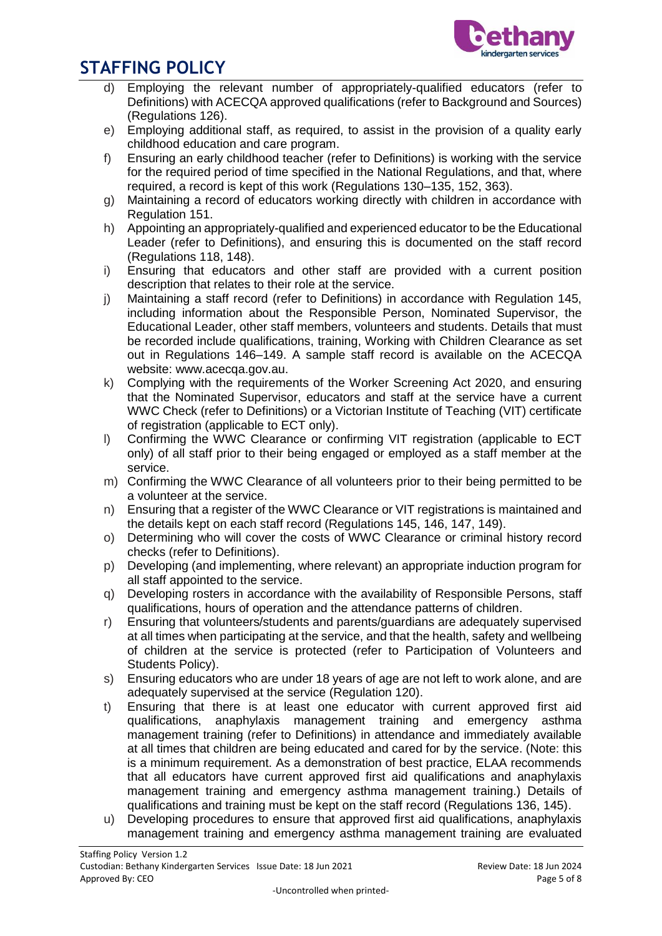

- d) Employing the relevant number of appropriately-qualified educators (refer to Definitions) with ACECQA approved qualifications (refer to Background and Sources) (Regulations 126).
- e) Employing additional staff, as required, to assist in the provision of a quality early childhood education and care program.
- f) Ensuring an early childhood teacher (refer to Definitions) is working with the service for the required period of time specified in the National Regulations, and that, where required, a record is kept of this work (Regulations 130–135, 152, 363).
- g) Maintaining a record of educators working directly with children in accordance with Regulation 151.
- h) Appointing an appropriately-qualified and experienced educator to be the Educational Leader (refer to Definitions), and ensuring this is documented on the staff record (Regulations 118, 148).
- i) Ensuring that educators and other staff are provided with a current position description that relates to their role at the service.
- j) Maintaining a staff record (refer to Definitions) in accordance with Regulation 145, including information about the Responsible Person, Nominated Supervisor, the Educational Leader, other staff members, volunteers and students. Details that must be recorded include qualifications, training, Working with Children Clearance as set out in Regulations 146–149. A sample staff record is available on the ACECQA website: [www.acecqa.gov.au.](http://www.acecqa.gov.au/)
- k) Complying with the requirements of the Worker Screening Act 2020, and ensuring that the Nominated Supervisor, educators and staff at the service have a current WWC Check (refer to Definitions) or a Victorian Institute of Teaching (VIT) certificate of registration (applicable to ECT only).
- l) Confirming the WWC Clearance or confirming VIT registration (applicable to ECT only) of all staff prior to their being engaged or employed as a staff member at the service.
- m) Confirming the WWC Clearance of all volunteers prior to their being permitted to be a volunteer at the service.
- n) Ensuring that a register of the WWC Clearance or VIT registrations is maintained and the details kept on each staff record (Regulations 145, 146, 147, 149).
- o) Determining who will cover the costs of WWC Clearance or criminal history record checks (refer to Definitions).
- p) Developing (and implementing, where relevant) an appropriate induction program for all staff appointed to the service.
- q) Developing rosters in accordance with the availability of Responsible Persons, staff qualifications, hours of operation and the attendance patterns of children.
- r) Ensuring that volunteers/students and parents/guardians are adequately supervised at all times when participating at the service, and that the health, safety and wellbeing of children at the service is protected (refer to Participation of Volunteers and Students Policy).
- s) Ensuring educators who are under 18 years of age are not left to work alone, and are adequately supervised at the service (Regulation 120).
- t) Ensuring that there is at least one educator with current approved first aid qualifications, anaphylaxis management training and emergency asthma management training (refer to Definitions) in attendance and immediately available at all times that children are being educated and cared for by the service. (Note: this is a minimum requirement. As a demonstration of best practice, ELAA recommends that all educators have current approved first aid qualifications and anaphylaxis management training and emergency asthma management training.) Details of qualifications and training must be kept on the staff record (Regulations 136, 145).
- u) Developing procedures to ensure that approved first aid qualifications, anaphylaxis management training and emergency asthma management training are evaluated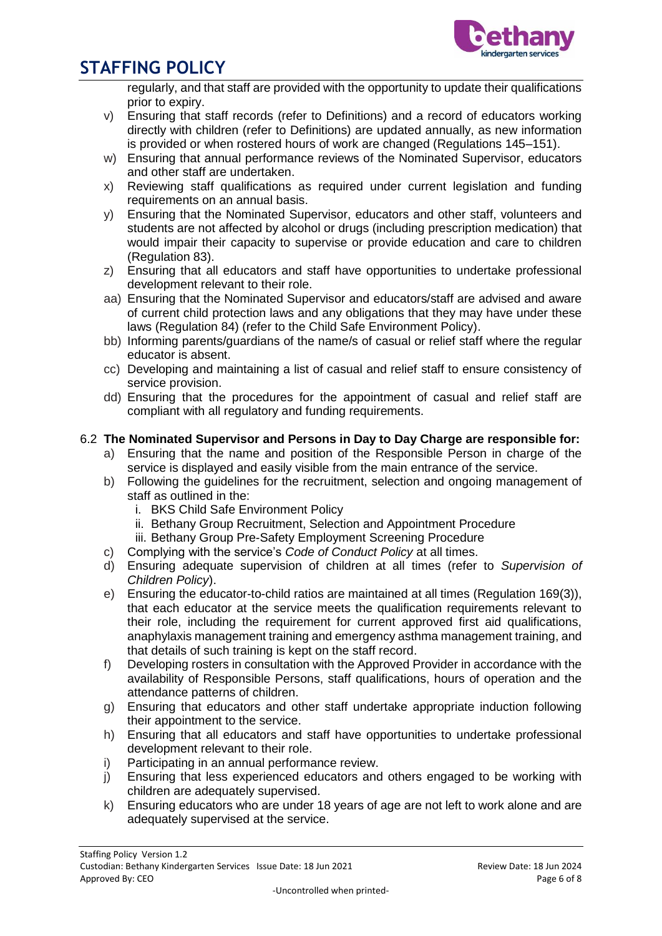

regularly, and that staff are provided with the opportunity to update their qualifications prior to expiry.

- v) Ensuring that staff records (refer to Definitions) and a record of educators working directly with children (refer to Definitions) are updated annually, as new information is provided or when rostered hours of work are changed (Regulations 145–151).
- w) Ensuring that annual performance reviews of the Nominated Supervisor, educators and other staff are undertaken.
- x) Reviewing staff qualifications as required under current legislation and funding requirements on an annual basis.
- y) Ensuring that the Nominated Supervisor, educators and other staff, volunteers and students are not affected by alcohol or drugs (including prescription medication) that would impair their capacity to supervise or provide education and care to children (Regulation 83).
- z) Ensuring that all educators and staff have opportunities to undertake professional development relevant to their role.
- aa) Ensuring that the Nominated Supervisor and educators/staff are advised and aware of current child protection laws and any obligations that they may have under these laws (Regulation 84) (refer to the Child Safe Environment Policy).
- bb) Informing parents/guardians of the name/s of casual or relief staff where the regular educator is absent.
- cc) Developing and maintaining a list of casual and relief staff to ensure consistency of service provision.
- dd) Ensuring that the procedures for the appointment of casual and relief staff are compliant with all regulatory and funding requirements.

### 6.2 **The Nominated Supervisor and Persons in Day to Day Charge are responsible for:**

- a) Ensuring that the name and position of the Responsible Person in charge of the service is displayed and easily visible from the main entrance of the service.
- b) Following the guidelines for the recruitment, selection and ongoing management of staff as outlined in the:
	- i. BKS Child Safe Environment Policy
	- ii. Bethany Group Recruitment, Selection and Appointment Procedure
	- iii. Bethany Group Pre-Safety Employment Screening Procedure
- c) Complying with the service's *Code of Conduct Policy* at all times.
- d) Ensuring adequate supervision of children at all times (refer to *Supervision of Children Policy*).
- e) Ensuring the educator-to-child ratios are maintained at all times (Regulation 169(3)), that each educator at the service meets the qualification requirements relevant to their role, including the requirement for current approved first aid qualifications, anaphylaxis management training and emergency asthma management training, and that details of such training is kept on the staff record.
- f) Developing rosters in consultation with the Approved Provider in accordance with the availability of Responsible Persons, staff qualifications, hours of operation and the attendance patterns of children.
- g) Ensuring that educators and other staff undertake appropriate induction following their appointment to the service.
- h) Ensuring that all educators and staff have opportunities to undertake professional development relevant to their role.
- i) Participating in an annual performance review.
- j) Ensuring that less experienced educators and others engaged to be working with children are adequately supervised.
- k) Ensuring educators who are under 18 years of age are not left to work alone and are adequately supervised at the service.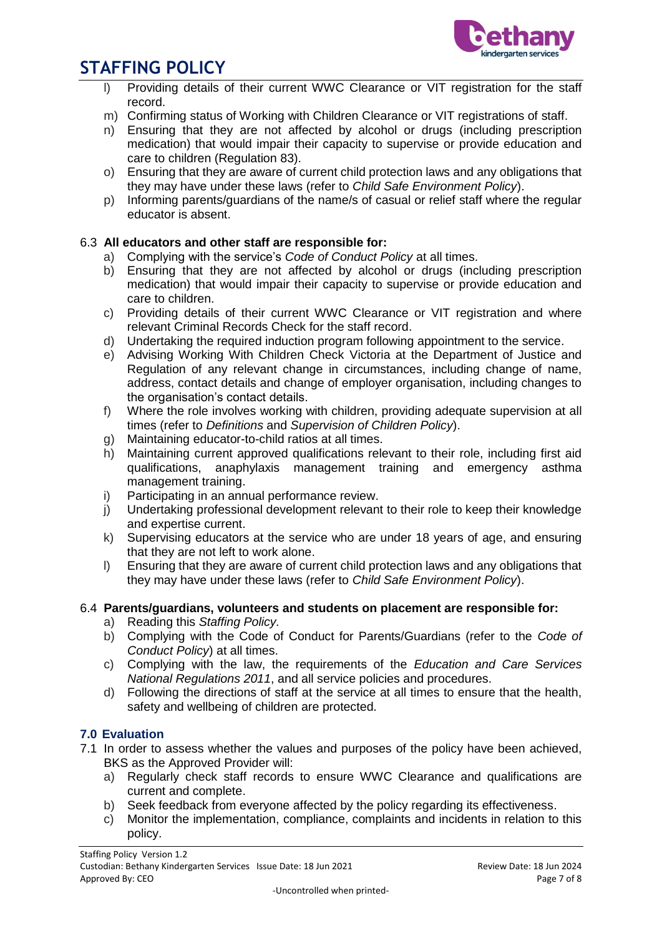

- Providing details of their current WWC Clearance or VIT registration for the staff record.
- m) Confirming status of Working with Children Clearance or VIT registrations of staff.
- n) Ensuring that they are not affected by alcohol or drugs (including prescription medication) that would impair their capacity to supervise or provide education and care to children (Regulation 83).
- o) Ensuring that they are aware of current child protection laws and any obligations that they may have under these laws (refer to *Child Safe Environment Policy*).
- p) Informing parents/guardians of the name/s of casual or relief staff where the regular educator is absent.

#### 6.3 **All educators and other staff are responsible for:**

- a) Complying with the service's *Code of Conduct Policy* at all times.
- b) Ensuring that they are not affected by alcohol or drugs (including prescription medication) that would impair their capacity to supervise or provide education and care to children.
- c) Providing details of their current WWC Clearance or VIT registration and where relevant Criminal Records Check for the staff record.
- d) Undertaking the required induction program following appointment to the service.
- e) Advising Working With Children Check Victoria at the Department of Justice and Regulation of any relevant change in circumstances, including change of name, address, contact details and change of employer organisation, including changes to the organisation's contact details.
- f) Where the role involves working with children, providing adequate supervision at all times (refer to *Definitions* and *Supervision of Children Policy*).
- g) Maintaining educator-to-child ratios at all times.
- h) Maintaining current approved qualifications relevant to their role, including first aid qualifications, anaphylaxis management training and emergency asthma management training.
- i) Participating in an annual performance review.
- j) Undertaking professional development relevant to their role to keep their knowledge and expertise current.
- k) Supervising educators at the service who are under 18 years of age, and ensuring that they are not left to work alone.
- l) Ensuring that they are aware of current child protection laws and any obligations that they may have under these laws (refer to *Child Safe Environment Policy*).

#### 6.4 **Parents/guardians, volunteers and students on placement are responsible for:**

- a) Reading this *Staffing Policy.*
- b) Complying with the Code of Conduct for Parents/Guardians (refer to the *Code of Conduct Policy*) at all times.
- c) Complying with the law, the requirements of the *Education and Care Services National Regulations 2011*, and all service policies and procedures.
- d) Following the directions of staff at the service at all times to ensure that the health, safety and wellbeing of children are protected.

#### **7.0 Evaluation**

- 7.1 In order to assess whether the values and purposes of the policy have been achieved, BKS as the Approved Provider will:
	- a) Regularly check staff records to ensure WWC Clearance and qualifications are current and complete.
	- b) Seek feedback from everyone affected by the policy regarding its effectiveness.
	- c) Monitor the implementation, compliance, complaints and incidents in relation to this policy.